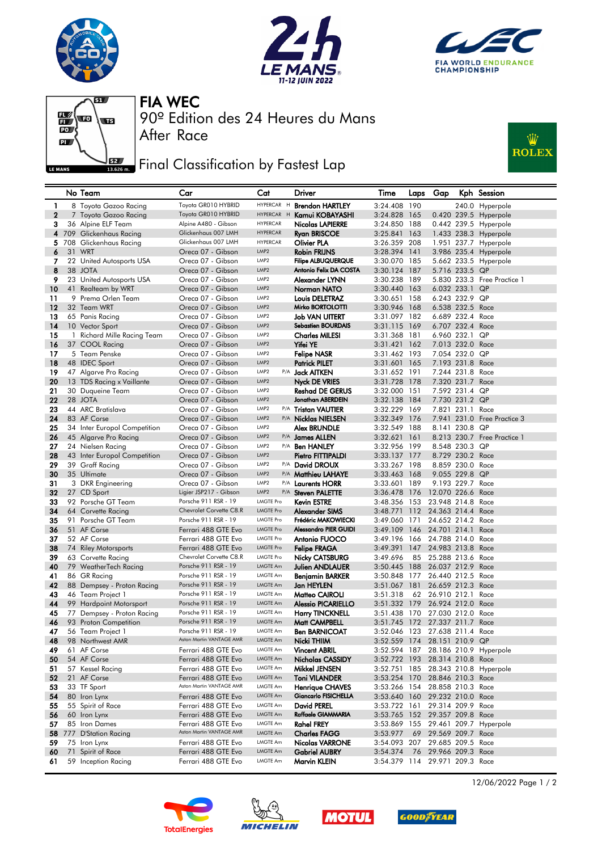







90º Edition des 24 Heures du Mans FIA WEC

## **FIFET** Final Classification by Fastest Lap

After Race



| Toyota GR010 HYBRID<br>HYPERCAR H<br><b>Brendon HARTLEY</b><br>3:24.408 190<br>1<br>8 Toyota Gazoo Racing<br>240.0 Hyperpole<br>$\mathbf{2}$<br>Toyota GR010 HYBRID<br>HYPERCAR H<br>3:24.828 165<br>0.420 239.5 Hyperpole<br>7 Toyota Gazoo Racing<br>Kamui KOBAYASHI<br>Alpine A480 - Gibson<br><b>HYPERCAR</b><br>3<br>36 Alpine ELF Team<br>Nicolas LAPIERRE<br>3:24.850 188<br>0.442 239.5 Hyperpole<br><b>HYPERCAR</b><br>709 Glickenhaus Racing<br>Glickenhaus 007 LMH<br>3:25.841 163<br>1.433 238.3 Hyperpole<br>4<br><b>Ryan BRISCOE</b><br>5<br>Glickenhaus 007 LMH<br><b>HYPERCAR</b><br>3:26.359 208<br>708 Glickenhaus Racing<br>Olivier PLA<br>1.951 237.7 Hyperpole<br>6<br>31 WRT<br><b>Robin FRIJNS</b><br>3:28.394 141<br>3.986 235.4 Hyperpole<br>Oreca 07 - Gibson<br>LMP <sub>2</sub><br>22 United Autosports USA<br><b>Filipe ALBUQUERQUE</b><br>3:30.070 185<br>7<br>Oreca 07 - Gibson<br>LMP <sub>2</sub><br>5.662 233.5 Hyperpole<br>8<br>Antonio Felix DA COSTA<br>38 JOTA<br>Oreca 07 - Gibson<br>LMP <sub>2</sub><br>3:30.124 187<br>5.716 233.5 QP<br>9<br>23 United Autosports USA<br>Oreca 07 - Gibson<br>LMP2<br>Alexander LYNN<br>3:30.238 189<br>5.830 233.3 Free Practice 1<br>LMP <sub>2</sub><br>10<br>41 Realteam by WRT<br>Oreca 07 - Gibson<br>Norman NATO<br>3:30.440 163<br>6.032 233.1 QP<br>11<br>9 Prema Orlen Team<br>Oreca 07 - Gibson<br>LMP2<br><b>Louis DELETRAZ</b><br>3:30.651 158<br>6.243 232.9 QP<br>$12 \,$<br>32 Team WRT<br>Oreca 07 - Gibson<br>LMP <sub>2</sub><br>Mirko BORTOLOTTI<br>3:30.946 168<br>6.538 232.5 Race<br>6.689 232.4 Race<br>13<br>65 Panis Racing<br>Oreca 07 - Gibson<br>LMP2<br>Job VAN UITERT<br>3:31.097 182<br>LMP2<br><b>Sebastien BOURDAIS</b><br>6.707 232.4 Race<br>14<br>Oreca 07 - Gibson<br>3:31.115 169<br>10 Vector Sport<br>LMP2<br>6.960 232.1 QP<br>15<br>1 Richard Mille Racing Team<br>Oreca 07 - Gibson<br>Charles MILESI<br>3:31.368 181<br>Yifei YE<br>16<br>Oreca 07 - Gibson<br>LMP <sub>2</sub><br>3:31.421 162<br>7.013 232.0 Race<br>37 COOL Racing<br>5 Team Penske<br>3:31.462 193<br>7.054 232.0 QP<br>17<br>Oreca 07 - Gibson<br>LMP <sub>2</sub><br><b>Felipe NASR</b><br>18<br>48 IDEC Sport<br>Oreca 07 - Gibson<br>LMP <sub>2</sub><br><b>Patrick PILET</b><br>3:31.601 165<br>7.193 231.8 Race<br>19<br>Oreca 07 - Gibson<br>LMP2<br>P/A <b>Jack AITKEN</b><br>3:31.652 191<br>7.244 231.8 Race<br>47 Algarve Pro Racing<br>LMP <sub>2</sub><br>20<br>13 TDS Racing x Vaillante<br>Oreca 07 - Gibson<br>Nyck DE VRIES<br>3:31.728 178<br>7.320 231.7 Race<br>21<br>Oreca 07 - Gibson<br>LMP2<br>3:32.000 151<br>7.592 231.4 QP<br>30 Duqueine Team<br><b>Reshad DE GERUS</b><br>LMP2<br>22<br>28 JOTA<br>Oreca 07 - Gibson<br>Jonathan ABERDEIN<br>3:32.138 184<br>7.730 231.2 QP<br>23<br>LMP2<br>44 ARC Bratislava<br>Oreca 07 - Gibson<br>P/A Tristan VAUTIER<br>3:32.229 169<br>7.821 231.1<br>Race<br>LMP2<br>24<br>83 AF Corse<br>Oreca 07 - Gibson<br>3:32.349 176<br>7.941 231.0 Free Practice 3<br>P/A Nicklas NIELSEN<br>LMP2<br>8.141 230.8 QP<br>25<br>34 Inter Europol Competition<br>Oreca 07 - Gibson<br>3:32.549 188<br>Alex BRUNDLE<br>26<br>45 Algarve Pro Racing<br>Oreca 07 - Gibson<br>LMP <sub>2</sub><br>3:32.621<br>161<br>8.213 230.7 Free Practice 1<br>P/A James ALLEN<br>LMP2<br>3:32.956 199<br>8.548 230.3 QP<br>27<br>24 Nielsen Racing<br>Oreca 07 - Gibson<br>P/A <b>Ben HANLEY</b><br>28<br>43 Inter Europol Competition<br>Oreca 07 - Gibson<br>LMP <sub>2</sub><br>Pietro FITTIPALDI<br>3:33.137 177<br>8.729 230.2 Race<br>29<br>39 Graff Racing<br>Oreca 07 - Gibson<br>LMP2<br>3:33.267 198<br>8,859 230.0 Race<br>P/A David DROUX<br>LMP <sub>2</sub><br>9.055 229.8 QP<br>30<br>35 Ultimate<br>Oreca 07 - Gibson<br><sup>P/A</sup> Matthieu LAHAYE<br>3:33.463 168<br>LMP2<br>31<br>P/A Laurents HORR<br>3:33.601 189<br>9.193 229.7 Race<br>3 DKR Engineering<br>Oreca 07 - Gibson<br>LMP2<br>32<br>Ligier JSP217 - Gibson<br>P/A Steven PALETTE<br>3:36.478 176<br>12.070 226.6 Race<br>27 CD Sport<br>Porsche 911 RSR - 19<br>3:48.356 153<br>23.948 214.8 Race<br>33<br>92 Porsche GT Team<br><b>LMGTE Pro</b><br><b>Kevin ESTRE</b><br>34<br>Chevrolet Corvette C8.R<br><b>LMGTE Pro</b><br>3:48.771 112<br>24.363 214.4 Race<br>64 Corvette Racing<br>Alexander SIMS<br>Porsche 911 RSR - 19<br><b>LMGTE Pro</b><br>Frédéric MAKOWIECKI<br>35<br>91 Porsche GT Team<br>3:49.060<br>171<br>24.652 214.2 Race<br><b>Alessandro PIER GUIDI</b><br>36<br>51 AF Corse<br>Ferrari 488 GTE Evo<br><b>LMGTE Pro</b><br>3:49.109 146<br>24.701 214.1 Race<br>52 AF Corse<br><b>LMGTE Pro</b><br>3:49.196 166<br>24.788 214.0 Race<br>37<br>Ferrari 488 GTE Evo<br>Antonio FUOCO<br>38<br>74 Riley Motorsports<br><b>LMGTE Pro</b><br>3:49.391<br>147<br>24.983 213.8 Race<br>Ferrari 488 GTE Evo<br><b>Felipe FRAGA</b><br>39<br>Chevrolet Corvette C8.R<br><b>LMGTE Pro</b><br>3:49.696<br>85<br>25.288 213.6 Race<br>63 Corvette Racing<br>Nicky CATSBURG<br>Porsche 911 RSR - 19<br><b>LMGTE Am</b><br>40<br>79 WeatherTech Racing<br>3:50.445 188<br>26.037 212.9 Race<br>Julien ANDLAUER<br>Porsche 911 RSR - 19<br>41<br>86 GR Racing<br>LMGTE Am<br>3:50.848<br>177<br>26.440 212.5 Race<br><b>Beniamin BARKER</b><br>88 Dempsey - Proton Racing<br>Porsche 911 RSR - 19<br>LMGTE Am<br>3:51.067<br>181<br>26.659 212.3 Race<br>42<br>Jan HEYLEN<br>Porsche 911 RSR - 19<br>43<br><b>LMGTE Am</b><br>Matteo CAIROLI<br>62<br>26.910 212.1<br>46 Team Project 1<br>3:51.318<br>Race<br>44<br>99 Hardpoint Motorsport<br>Porsche 911 RSR - 19<br>LMGTE Am<br>3:51.332 179<br>26.924 212.0 Race<br><b>Alessio PICARIELLO</b><br>Porsche 911 RSR - 19<br>45<br>LMGTE Am<br>170<br>27.030 212.0 Race<br>77 Dempsey - Proton Racing<br><b>Harry TINCKNELL</b><br>3:51.438<br>46<br>93 Proton Competition<br>Porsche 911 RSR - 19<br><b>LMGTE Am</b><br>3:51.745 172<br>27.337 211.7 Race<br>Matt CAMPBELL<br>Porsche 911 RSR - 19<br>LMGTE Am<br>3:52.046 123 27.638 211.4 Race<br>47<br>56 Team Project 1<br><b>Ben BARNICOAT</b><br>Aston Martin VANTAGE AMR<br>98 Northwest AMR<br>LMGTE Am<br>Nicki THIIM<br>3:52.559 174 28.151 210.9 QP<br>48<br>61 AF Corse<br>Ferrari 488 GTE Evo<br>LMGTE Am<br><b>Vincent ABRIL</b><br>3:52.594 187 28.186 210.9 Hyperpole<br>49<br>54 AF Corse<br>LMGTE Am<br>28.314 210.8 Race<br>50<br>Ferrari 488 GTE Evo<br><b>Nicholas CASSIDY</b><br>3:52.722 193<br>57 Kessel Racing<br>Ferrari 488 GTE Evo<br>LMGTE Am<br>Mikkel JENSEN<br>3:52.751 185 28.343 210.8 Hyperpole<br>51<br>LMGTE Am<br>52<br>21 AF Corse<br>Ferrari 488 GTE Evo<br><b>Toni VILANDER</b><br>3:53.254 170<br>28.846 210.3 Race<br>Aston Martin VANTAGE AMR<br>33 TF Sport<br>3:53.266 154 28.858 210.3 Race<br>53<br>LMGTE Am<br><b>Henrique CHAVES</b><br>LMGTE Am<br>Giancarlo FISICHELLA<br>29.232 210.0 Race<br>54<br>80 Iron Lynx<br>Ferrari 488 GTE Evo<br>3:53.640 160<br>LMGTE Am<br>David PEREL<br>55 Spirit of Race<br>Ferrari 488 GTE Evo<br>3:53.722 161<br>29.314 209.9 Race<br>55<br>Raffaele GIAMMARIA<br>3:53.765 152<br>29.357 209.8 Race<br>56<br>60 Iron Lynx<br>Ferrari 488 GTE Evo<br><b>LMGTE Am</b><br>85 Iron Dames<br>Ferrari 488 GTE Evo<br>LMGTE Am<br>3:53.869 155 29.461 209.7 Hyperpole<br>57<br>Rahel FREY<br>Aston Martin VANTAGE AMR<br>777 D'Station Racing<br>LMGTE Am<br><b>Charles FAGG</b><br>3:53.977<br>69<br>29.569 209.7 Race<br>58<br>75 Iron Lynx<br>Ferrari 488 GTE Evo<br>LMGTE Am<br><b>Nicolas VARRONE</b><br>3:54.093 207<br>29.685 209.5 Race<br>59<br>71 Spirit of Race<br>LMGTE Am<br><b>Gabriel AUBRY</b><br>29.966 209.3 Race<br>Ferrari 488 GTE Evo<br>3:54.374<br>76<br>60<br>LMGTE Am<br>59 Inception Racing<br>Ferrari 488 GTE Evo<br>Marvin KLEIN<br>3:54.379 114 29.971 209.3 Race<br>61 |  | No Team | Car | Cat | Driver | Time | Laps | Gap | Kph Session |
|-------------------------------------------------------------------------------------------------------------------------------------------------------------------------------------------------------------------------------------------------------------------------------------------------------------------------------------------------------------------------------------------------------------------------------------------------------------------------------------------------------------------------------------------------------------------------------------------------------------------------------------------------------------------------------------------------------------------------------------------------------------------------------------------------------------------------------------------------------------------------------------------------------------------------------------------------------------------------------------------------------------------------------------------------------------------------------------------------------------------------------------------------------------------------------------------------------------------------------------------------------------------------------------------------------------------------------------------------------------------------------------------------------------------------------------------------------------------------------------------------------------------------------------------------------------------------------------------------------------------------------------------------------------------------------------------------------------------------------------------------------------------------------------------------------------------------------------------------------------------------------------------------------------------------------------------------------------------------------------------------------------------------------------------------------------------------------------------------------------------------------------------------------------------------------------------------------------------------------------------------------------------------------------------------------------------------------------------------------------------------------------------------------------------------------------------------------------------------------------------------------------------------------------------------------------------------------------------------------------------------------------------------------------------------------------------------------------------------------------------------------------------------------------------------------------------------------------------------------------------------------------------------------------------------------------------------------------------------------------------------------------------------------------------------------------------------------------------------------------------------------------------------------------------------------------------------------------------------------------------------------------------------------------------------------------------------------------------------------------------------------------------------------------------------------------------------------------------------------------------------------------------------------------------------------------------------------------------------------------------------------------------------------------------------------------------------------------------------------------------------------------------------------------------------------------------------------------------------------------------------------------------------------------------------------------------------------------------------------------------------------------------------------------------------------------------------------------------------------------------------------------------------------------------------------------------------------------------------------------------------------------------------------------------------------------------------------------------------------------------------------------------------------------------------------------------------------------------------------------------------------------------------------------------------------------------------------------------------------------------------------------------------------------------------------------------------------------------------------------------------------------------------------------------------------------------------------------------------------------------------------------------------------------------------------------------------------------------------------------------------------------------------------------------------------------------------------------------------------------------------------------------------------------------------------------------------------------------------------------------------------------------------------------------------------------------------------------------------------------------------------------------------------------------------------------------------------------------------------------------------------------------------------------------------------------------------------------------------------------------------------------------------------------------------------------------------------------------------------------------------------------------------------------------------------------------------------------------------------------------------------------------------------------------------------------------------------------------------------------------------------------------------------------------------------------------------------------------------------------------------------------------------------------------------------------------------------------------------------------------------------------------------------------------------------------------------------------------------------------------------------------------------------------------------------------------------------------------------------------------------------------------------------------------------------------------------------------------------------------------------------------------------------------------------------------------------------------------------------------------------------------------------------------------------------------------------------------------------------------------------------------------------------------------------------------------------------------------------------------------------------------------------------------------------------------------------------------------------------------------------------------------------------------------------------------------------------------------------------------------------------------------------------------------------------------------------------------------------------------------------------------------------------------------------------------------------------------------------------------------------------------------------------------------------------------------------------------------------------------------------------------------------------------------------------------------------------------------------------------------------------------------------------------------------------------------------------|--|---------|-----|-----|--------|------|------|-----|-------------|
|                                                                                                                                                                                                                                                                                                                                                                                                                                                                                                                                                                                                                                                                                                                                                                                                                                                                                                                                                                                                                                                                                                                                                                                                                                                                                                                                                                                                                                                                                                                                                                                                                                                                                                                                                                                                                                                                                                                                                                                                                                                                                                                                                                                                                                                                                                                                                                                                                                                                                                                                                                                                                                                                                                                                                                                                                                                                                                                                                                                                                                                                                                                                                                                                                                                                                                                                                                                                                                                                                                                                                                                                                                                                                                                                                                                                                                                                                                                                                                                                                                                                                                                                                                                                                                                                                                                                                                                                                                                                                                                                                                                                                                                                                                                                                                                                                                                                                                                                                                                                                                                                                                                                                                                                                                                                                                                                                                                                                                                                                                                                                                                                                                                                                                                                                                                                                                                                                                                                                                                                                                                                                                                                                                                                                                                                                                                                                                                                                                                                                                                                                                                                                                                                                                                                                                                                                                                                                                                                                                                                                                                                                                                                                                                                                                                                                                                                                                                                                                                                                                                                                                                                                                                                                                                                                                                                                               |  |         |     |     |        |      |      |     |             |
|                                                                                                                                                                                                                                                                                                                                                                                                                                                                                                                                                                                                                                                                                                                                                                                                                                                                                                                                                                                                                                                                                                                                                                                                                                                                                                                                                                                                                                                                                                                                                                                                                                                                                                                                                                                                                                                                                                                                                                                                                                                                                                                                                                                                                                                                                                                                                                                                                                                                                                                                                                                                                                                                                                                                                                                                                                                                                                                                                                                                                                                                                                                                                                                                                                                                                                                                                                                                                                                                                                                                                                                                                                                                                                                                                                                                                                                                                                                                                                                                                                                                                                                                                                                                                                                                                                                                                                                                                                                                                                                                                                                                                                                                                                                                                                                                                                                                                                                                                                                                                                                                                                                                                                                                                                                                                                                                                                                                                                                                                                                                                                                                                                                                                                                                                                                                                                                                                                                                                                                                                                                                                                                                                                                                                                                                                                                                                                                                                                                                                                                                                                                                                                                                                                                                                                                                                                                                                                                                                                                                                                                                                                                                                                                                                                                                                                                                                                                                                                                                                                                                                                                                                                                                                                                                                                                                                               |  |         |     |     |        |      |      |     |             |
|                                                                                                                                                                                                                                                                                                                                                                                                                                                                                                                                                                                                                                                                                                                                                                                                                                                                                                                                                                                                                                                                                                                                                                                                                                                                                                                                                                                                                                                                                                                                                                                                                                                                                                                                                                                                                                                                                                                                                                                                                                                                                                                                                                                                                                                                                                                                                                                                                                                                                                                                                                                                                                                                                                                                                                                                                                                                                                                                                                                                                                                                                                                                                                                                                                                                                                                                                                                                                                                                                                                                                                                                                                                                                                                                                                                                                                                                                                                                                                                                                                                                                                                                                                                                                                                                                                                                                                                                                                                                                                                                                                                                                                                                                                                                                                                                                                                                                                                                                                                                                                                                                                                                                                                                                                                                                                                                                                                                                                                                                                                                                                                                                                                                                                                                                                                                                                                                                                                                                                                                                                                                                                                                                                                                                                                                                                                                                                                                                                                                                                                                                                                                                                                                                                                                                                                                                                                                                                                                                                                                                                                                                                                                                                                                                                                                                                                                                                                                                                                                                                                                                                                                                                                                                                                                                                                                                               |  |         |     |     |        |      |      |     |             |
|                                                                                                                                                                                                                                                                                                                                                                                                                                                                                                                                                                                                                                                                                                                                                                                                                                                                                                                                                                                                                                                                                                                                                                                                                                                                                                                                                                                                                                                                                                                                                                                                                                                                                                                                                                                                                                                                                                                                                                                                                                                                                                                                                                                                                                                                                                                                                                                                                                                                                                                                                                                                                                                                                                                                                                                                                                                                                                                                                                                                                                                                                                                                                                                                                                                                                                                                                                                                                                                                                                                                                                                                                                                                                                                                                                                                                                                                                                                                                                                                                                                                                                                                                                                                                                                                                                                                                                                                                                                                                                                                                                                                                                                                                                                                                                                                                                                                                                                                                                                                                                                                                                                                                                                                                                                                                                                                                                                                                                                                                                                                                                                                                                                                                                                                                                                                                                                                                                                                                                                                                                                                                                                                                                                                                                                                                                                                                                                                                                                                                                                                                                                                                                                                                                                                                                                                                                                                                                                                                                                                                                                                                                                                                                                                                                                                                                                                                                                                                                                                                                                                                                                                                                                                                                                                                                                                                               |  |         |     |     |        |      |      |     |             |
|                                                                                                                                                                                                                                                                                                                                                                                                                                                                                                                                                                                                                                                                                                                                                                                                                                                                                                                                                                                                                                                                                                                                                                                                                                                                                                                                                                                                                                                                                                                                                                                                                                                                                                                                                                                                                                                                                                                                                                                                                                                                                                                                                                                                                                                                                                                                                                                                                                                                                                                                                                                                                                                                                                                                                                                                                                                                                                                                                                                                                                                                                                                                                                                                                                                                                                                                                                                                                                                                                                                                                                                                                                                                                                                                                                                                                                                                                                                                                                                                                                                                                                                                                                                                                                                                                                                                                                                                                                                                                                                                                                                                                                                                                                                                                                                                                                                                                                                                                                                                                                                                                                                                                                                                                                                                                                                                                                                                                                                                                                                                                                                                                                                                                                                                                                                                                                                                                                                                                                                                                                                                                                                                                                                                                                                                                                                                                                                                                                                                                                                                                                                                                                                                                                                                                                                                                                                                                                                                                                                                                                                                                                                                                                                                                                                                                                                                                                                                                                                                                                                                                                                                                                                                                                                                                                                                                               |  |         |     |     |        |      |      |     |             |
|                                                                                                                                                                                                                                                                                                                                                                                                                                                                                                                                                                                                                                                                                                                                                                                                                                                                                                                                                                                                                                                                                                                                                                                                                                                                                                                                                                                                                                                                                                                                                                                                                                                                                                                                                                                                                                                                                                                                                                                                                                                                                                                                                                                                                                                                                                                                                                                                                                                                                                                                                                                                                                                                                                                                                                                                                                                                                                                                                                                                                                                                                                                                                                                                                                                                                                                                                                                                                                                                                                                                                                                                                                                                                                                                                                                                                                                                                                                                                                                                                                                                                                                                                                                                                                                                                                                                                                                                                                                                                                                                                                                                                                                                                                                                                                                                                                                                                                                                                                                                                                                                                                                                                                                                                                                                                                                                                                                                                                                                                                                                                                                                                                                                                                                                                                                                                                                                                                                                                                                                                                                                                                                                                                                                                                                                                                                                                                                                                                                                                                                                                                                                                                                                                                                                                                                                                                                                                                                                                                                                                                                                                                                                                                                                                                                                                                                                                                                                                                                                                                                                                                                                                                                                                                                                                                                                                               |  |         |     |     |        |      |      |     |             |
|                                                                                                                                                                                                                                                                                                                                                                                                                                                                                                                                                                                                                                                                                                                                                                                                                                                                                                                                                                                                                                                                                                                                                                                                                                                                                                                                                                                                                                                                                                                                                                                                                                                                                                                                                                                                                                                                                                                                                                                                                                                                                                                                                                                                                                                                                                                                                                                                                                                                                                                                                                                                                                                                                                                                                                                                                                                                                                                                                                                                                                                                                                                                                                                                                                                                                                                                                                                                                                                                                                                                                                                                                                                                                                                                                                                                                                                                                                                                                                                                                                                                                                                                                                                                                                                                                                                                                                                                                                                                                                                                                                                                                                                                                                                                                                                                                                                                                                                                                                                                                                                                                                                                                                                                                                                                                                                                                                                                                                                                                                                                                                                                                                                                                                                                                                                                                                                                                                                                                                                                                                                                                                                                                                                                                                                                                                                                                                                                                                                                                                                                                                                                                                                                                                                                                                                                                                                                                                                                                                                                                                                                                                                                                                                                                                                                                                                                                                                                                                                                                                                                                                                                                                                                                                                                                                                                                               |  |         |     |     |        |      |      |     |             |
|                                                                                                                                                                                                                                                                                                                                                                                                                                                                                                                                                                                                                                                                                                                                                                                                                                                                                                                                                                                                                                                                                                                                                                                                                                                                                                                                                                                                                                                                                                                                                                                                                                                                                                                                                                                                                                                                                                                                                                                                                                                                                                                                                                                                                                                                                                                                                                                                                                                                                                                                                                                                                                                                                                                                                                                                                                                                                                                                                                                                                                                                                                                                                                                                                                                                                                                                                                                                                                                                                                                                                                                                                                                                                                                                                                                                                                                                                                                                                                                                                                                                                                                                                                                                                                                                                                                                                                                                                                                                                                                                                                                                                                                                                                                                                                                                                                                                                                                                                                                                                                                                                                                                                                                                                                                                                                                                                                                                                                                                                                                                                                                                                                                                                                                                                                                                                                                                                                                                                                                                                                                                                                                                                                                                                                                                                                                                                                                                                                                                                                                                                                                                                                                                                                                                                                                                                                                                                                                                                                                                                                                                                                                                                                                                                                                                                                                                                                                                                                                                                                                                                                                                                                                                                                                                                                                                                               |  |         |     |     |        |      |      |     |             |
|                                                                                                                                                                                                                                                                                                                                                                                                                                                                                                                                                                                                                                                                                                                                                                                                                                                                                                                                                                                                                                                                                                                                                                                                                                                                                                                                                                                                                                                                                                                                                                                                                                                                                                                                                                                                                                                                                                                                                                                                                                                                                                                                                                                                                                                                                                                                                                                                                                                                                                                                                                                                                                                                                                                                                                                                                                                                                                                                                                                                                                                                                                                                                                                                                                                                                                                                                                                                                                                                                                                                                                                                                                                                                                                                                                                                                                                                                                                                                                                                                                                                                                                                                                                                                                                                                                                                                                                                                                                                                                                                                                                                                                                                                                                                                                                                                                                                                                                                                                                                                                                                                                                                                                                                                                                                                                                                                                                                                                                                                                                                                                                                                                                                                                                                                                                                                                                                                                                                                                                                                                                                                                                                                                                                                                                                                                                                                                                                                                                                                                                                                                                                                                                                                                                                                                                                                                                                                                                                                                                                                                                                                                                                                                                                                                                                                                                                                                                                                                                                                                                                                                                                                                                                                                                                                                                                                               |  |         |     |     |        |      |      |     |             |
|                                                                                                                                                                                                                                                                                                                                                                                                                                                                                                                                                                                                                                                                                                                                                                                                                                                                                                                                                                                                                                                                                                                                                                                                                                                                                                                                                                                                                                                                                                                                                                                                                                                                                                                                                                                                                                                                                                                                                                                                                                                                                                                                                                                                                                                                                                                                                                                                                                                                                                                                                                                                                                                                                                                                                                                                                                                                                                                                                                                                                                                                                                                                                                                                                                                                                                                                                                                                                                                                                                                                                                                                                                                                                                                                                                                                                                                                                                                                                                                                                                                                                                                                                                                                                                                                                                                                                                                                                                                                                                                                                                                                                                                                                                                                                                                                                                                                                                                                                                                                                                                                                                                                                                                                                                                                                                                                                                                                                                                                                                                                                                                                                                                                                                                                                                                                                                                                                                                                                                                                                                                                                                                                                                                                                                                                                                                                                                                                                                                                                                                                                                                                                                                                                                                                                                                                                                                                                                                                                                                                                                                                                                                                                                                                                                                                                                                                                                                                                                                                                                                                                                                                                                                                                                                                                                                                                               |  |         |     |     |        |      |      |     |             |
|                                                                                                                                                                                                                                                                                                                                                                                                                                                                                                                                                                                                                                                                                                                                                                                                                                                                                                                                                                                                                                                                                                                                                                                                                                                                                                                                                                                                                                                                                                                                                                                                                                                                                                                                                                                                                                                                                                                                                                                                                                                                                                                                                                                                                                                                                                                                                                                                                                                                                                                                                                                                                                                                                                                                                                                                                                                                                                                                                                                                                                                                                                                                                                                                                                                                                                                                                                                                                                                                                                                                                                                                                                                                                                                                                                                                                                                                                                                                                                                                                                                                                                                                                                                                                                                                                                                                                                                                                                                                                                                                                                                                                                                                                                                                                                                                                                                                                                                                                                                                                                                                                                                                                                                                                                                                                                                                                                                                                                                                                                                                                                                                                                                                                                                                                                                                                                                                                                                                                                                                                                                                                                                                                                                                                                                                                                                                                                                                                                                                                                                                                                                                                                                                                                                                                                                                                                                                                                                                                                                                                                                                                                                                                                                                                                                                                                                                                                                                                                                                                                                                                                                                                                                                                                                                                                                                                               |  |         |     |     |        |      |      |     |             |
|                                                                                                                                                                                                                                                                                                                                                                                                                                                                                                                                                                                                                                                                                                                                                                                                                                                                                                                                                                                                                                                                                                                                                                                                                                                                                                                                                                                                                                                                                                                                                                                                                                                                                                                                                                                                                                                                                                                                                                                                                                                                                                                                                                                                                                                                                                                                                                                                                                                                                                                                                                                                                                                                                                                                                                                                                                                                                                                                                                                                                                                                                                                                                                                                                                                                                                                                                                                                                                                                                                                                                                                                                                                                                                                                                                                                                                                                                                                                                                                                                                                                                                                                                                                                                                                                                                                                                                                                                                                                                                                                                                                                                                                                                                                                                                                                                                                                                                                                                                                                                                                                                                                                                                                                                                                                                                                                                                                                                                                                                                                                                                                                                                                                                                                                                                                                                                                                                                                                                                                                                                                                                                                                                                                                                                                                                                                                                                                                                                                                                                                                                                                                                                                                                                                                                                                                                                                                                                                                                                                                                                                                                                                                                                                                                                                                                                                                                                                                                                                                                                                                                                                                                                                                                                                                                                                                                               |  |         |     |     |        |      |      |     |             |
|                                                                                                                                                                                                                                                                                                                                                                                                                                                                                                                                                                                                                                                                                                                                                                                                                                                                                                                                                                                                                                                                                                                                                                                                                                                                                                                                                                                                                                                                                                                                                                                                                                                                                                                                                                                                                                                                                                                                                                                                                                                                                                                                                                                                                                                                                                                                                                                                                                                                                                                                                                                                                                                                                                                                                                                                                                                                                                                                                                                                                                                                                                                                                                                                                                                                                                                                                                                                                                                                                                                                                                                                                                                                                                                                                                                                                                                                                                                                                                                                                                                                                                                                                                                                                                                                                                                                                                                                                                                                                                                                                                                                                                                                                                                                                                                                                                                                                                                                                                                                                                                                                                                                                                                                                                                                                                                                                                                                                                                                                                                                                                                                                                                                                                                                                                                                                                                                                                                                                                                                                                                                                                                                                                                                                                                                                                                                                                                                                                                                                                                                                                                                                                                                                                                                                                                                                                                                                                                                                                                                                                                                                                                                                                                                                                                                                                                                                                                                                                                                                                                                                                                                                                                                                                                                                                                                                               |  |         |     |     |        |      |      |     |             |
|                                                                                                                                                                                                                                                                                                                                                                                                                                                                                                                                                                                                                                                                                                                                                                                                                                                                                                                                                                                                                                                                                                                                                                                                                                                                                                                                                                                                                                                                                                                                                                                                                                                                                                                                                                                                                                                                                                                                                                                                                                                                                                                                                                                                                                                                                                                                                                                                                                                                                                                                                                                                                                                                                                                                                                                                                                                                                                                                                                                                                                                                                                                                                                                                                                                                                                                                                                                                                                                                                                                                                                                                                                                                                                                                                                                                                                                                                                                                                                                                                                                                                                                                                                                                                                                                                                                                                                                                                                                                                                                                                                                                                                                                                                                                                                                                                                                                                                                                                                                                                                                                                                                                                                                                                                                                                                                                                                                                                                                                                                                                                                                                                                                                                                                                                                                                                                                                                                                                                                                                                                                                                                                                                                                                                                                                                                                                                                                                                                                                                                                                                                                                                                                                                                                                                                                                                                                                                                                                                                                                                                                                                                                                                                                                                                                                                                                                                                                                                                                                                                                                                                                                                                                                                                                                                                                                                               |  |         |     |     |        |      |      |     |             |
|                                                                                                                                                                                                                                                                                                                                                                                                                                                                                                                                                                                                                                                                                                                                                                                                                                                                                                                                                                                                                                                                                                                                                                                                                                                                                                                                                                                                                                                                                                                                                                                                                                                                                                                                                                                                                                                                                                                                                                                                                                                                                                                                                                                                                                                                                                                                                                                                                                                                                                                                                                                                                                                                                                                                                                                                                                                                                                                                                                                                                                                                                                                                                                                                                                                                                                                                                                                                                                                                                                                                                                                                                                                                                                                                                                                                                                                                                                                                                                                                                                                                                                                                                                                                                                                                                                                                                                                                                                                                                                                                                                                                                                                                                                                                                                                                                                                                                                                                                                                                                                                                                                                                                                                                                                                                                                                                                                                                                                                                                                                                                                                                                                                                                                                                                                                                                                                                                                                                                                                                                                                                                                                                                                                                                                                                                                                                                                                                                                                                                                                                                                                                                                                                                                                                                                                                                                                                                                                                                                                                                                                                                                                                                                                                                                                                                                                                                                                                                                                                                                                                                                                                                                                                                                                                                                                                                               |  |         |     |     |        |      |      |     |             |
|                                                                                                                                                                                                                                                                                                                                                                                                                                                                                                                                                                                                                                                                                                                                                                                                                                                                                                                                                                                                                                                                                                                                                                                                                                                                                                                                                                                                                                                                                                                                                                                                                                                                                                                                                                                                                                                                                                                                                                                                                                                                                                                                                                                                                                                                                                                                                                                                                                                                                                                                                                                                                                                                                                                                                                                                                                                                                                                                                                                                                                                                                                                                                                                                                                                                                                                                                                                                                                                                                                                                                                                                                                                                                                                                                                                                                                                                                                                                                                                                                                                                                                                                                                                                                                                                                                                                                                                                                                                                                                                                                                                                                                                                                                                                                                                                                                                                                                                                                                                                                                                                                                                                                                                                                                                                                                                                                                                                                                                                                                                                                                                                                                                                                                                                                                                                                                                                                                                                                                                                                                                                                                                                                                                                                                                                                                                                                                                                                                                                                                                                                                                                                                                                                                                                                                                                                                                                                                                                                                                                                                                                                                                                                                                                                                                                                                                                                                                                                                                                                                                                                                                                                                                                                                                                                                                                                               |  |         |     |     |        |      |      |     |             |
|                                                                                                                                                                                                                                                                                                                                                                                                                                                                                                                                                                                                                                                                                                                                                                                                                                                                                                                                                                                                                                                                                                                                                                                                                                                                                                                                                                                                                                                                                                                                                                                                                                                                                                                                                                                                                                                                                                                                                                                                                                                                                                                                                                                                                                                                                                                                                                                                                                                                                                                                                                                                                                                                                                                                                                                                                                                                                                                                                                                                                                                                                                                                                                                                                                                                                                                                                                                                                                                                                                                                                                                                                                                                                                                                                                                                                                                                                                                                                                                                                                                                                                                                                                                                                                                                                                                                                                                                                                                                                                                                                                                                                                                                                                                                                                                                                                                                                                                                                                                                                                                                                                                                                                                                                                                                                                                                                                                                                                                                                                                                                                                                                                                                                                                                                                                                                                                                                                                                                                                                                                                                                                                                                                                                                                                                                                                                                                                                                                                                                                                                                                                                                                                                                                                                                                                                                                                                                                                                                                                                                                                                                                                                                                                                                                                                                                                                                                                                                                                                                                                                                                                                                                                                                                                                                                                                                               |  |         |     |     |        |      |      |     |             |
|                                                                                                                                                                                                                                                                                                                                                                                                                                                                                                                                                                                                                                                                                                                                                                                                                                                                                                                                                                                                                                                                                                                                                                                                                                                                                                                                                                                                                                                                                                                                                                                                                                                                                                                                                                                                                                                                                                                                                                                                                                                                                                                                                                                                                                                                                                                                                                                                                                                                                                                                                                                                                                                                                                                                                                                                                                                                                                                                                                                                                                                                                                                                                                                                                                                                                                                                                                                                                                                                                                                                                                                                                                                                                                                                                                                                                                                                                                                                                                                                                                                                                                                                                                                                                                                                                                                                                                                                                                                                                                                                                                                                                                                                                                                                                                                                                                                                                                                                                                                                                                                                                                                                                                                                                                                                                                                                                                                                                                                                                                                                                                                                                                                                                                                                                                                                                                                                                                                                                                                                                                                                                                                                                                                                                                                                                                                                                                                                                                                                                                                                                                                                                                                                                                                                                                                                                                                                                                                                                                                                                                                                                                                                                                                                                                                                                                                                                                                                                                                                                                                                                                                                                                                                                                                                                                                                                               |  |         |     |     |        |      |      |     |             |
|                                                                                                                                                                                                                                                                                                                                                                                                                                                                                                                                                                                                                                                                                                                                                                                                                                                                                                                                                                                                                                                                                                                                                                                                                                                                                                                                                                                                                                                                                                                                                                                                                                                                                                                                                                                                                                                                                                                                                                                                                                                                                                                                                                                                                                                                                                                                                                                                                                                                                                                                                                                                                                                                                                                                                                                                                                                                                                                                                                                                                                                                                                                                                                                                                                                                                                                                                                                                                                                                                                                                                                                                                                                                                                                                                                                                                                                                                                                                                                                                                                                                                                                                                                                                                                                                                                                                                                                                                                                                                                                                                                                                                                                                                                                                                                                                                                                                                                                                                                                                                                                                                                                                                                                                                                                                                                                                                                                                                                                                                                                                                                                                                                                                                                                                                                                                                                                                                                                                                                                                                                                                                                                                                                                                                                                                                                                                                                                                                                                                                                                                                                                                                                                                                                                                                                                                                                                                                                                                                                                                                                                                                                                                                                                                                                                                                                                                                                                                                                                                                                                                                                                                                                                                                                                                                                                                                               |  |         |     |     |        |      |      |     |             |
|                                                                                                                                                                                                                                                                                                                                                                                                                                                                                                                                                                                                                                                                                                                                                                                                                                                                                                                                                                                                                                                                                                                                                                                                                                                                                                                                                                                                                                                                                                                                                                                                                                                                                                                                                                                                                                                                                                                                                                                                                                                                                                                                                                                                                                                                                                                                                                                                                                                                                                                                                                                                                                                                                                                                                                                                                                                                                                                                                                                                                                                                                                                                                                                                                                                                                                                                                                                                                                                                                                                                                                                                                                                                                                                                                                                                                                                                                                                                                                                                                                                                                                                                                                                                                                                                                                                                                                                                                                                                                                                                                                                                                                                                                                                                                                                                                                                                                                                                                                                                                                                                                                                                                                                                                                                                                                                                                                                                                                                                                                                                                                                                                                                                                                                                                                                                                                                                                                                                                                                                                                                                                                                                                                                                                                                                                                                                                                                                                                                                                                                                                                                                                                                                                                                                                                                                                                                                                                                                                                                                                                                                                                                                                                                                                                                                                                                                                                                                                                                                                                                                                                                                                                                                                                                                                                                                                               |  |         |     |     |        |      |      |     |             |
|                                                                                                                                                                                                                                                                                                                                                                                                                                                                                                                                                                                                                                                                                                                                                                                                                                                                                                                                                                                                                                                                                                                                                                                                                                                                                                                                                                                                                                                                                                                                                                                                                                                                                                                                                                                                                                                                                                                                                                                                                                                                                                                                                                                                                                                                                                                                                                                                                                                                                                                                                                                                                                                                                                                                                                                                                                                                                                                                                                                                                                                                                                                                                                                                                                                                                                                                                                                                                                                                                                                                                                                                                                                                                                                                                                                                                                                                                                                                                                                                                                                                                                                                                                                                                                                                                                                                                                                                                                                                                                                                                                                                                                                                                                                                                                                                                                                                                                                                                                                                                                                                                                                                                                                                                                                                                                                                                                                                                                                                                                                                                                                                                                                                                                                                                                                                                                                                                                                                                                                                                                                                                                                                                                                                                                                                                                                                                                                                                                                                                                                                                                                                                                                                                                                                                                                                                                                                                                                                                                                                                                                                                                                                                                                                                                                                                                                                                                                                                                                                                                                                                                                                                                                                                                                                                                                                                               |  |         |     |     |        |      |      |     |             |
|                                                                                                                                                                                                                                                                                                                                                                                                                                                                                                                                                                                                                                                                                                                                                                                                                                                                                                                                                                                                                                                                                                                                                                                                                                                                                                                                                                                                                                                                                                                                                                                                                                                                                                                                                                                                                                                                                                                                                                                                                                                                                                                                                                                                                                                                                                                                                                                                                                                                                                                                                                                                                                                                                                                                                                                                                                                                                                                                                                                                                                                                                                                                                                                                                                                                                                                                                                                                                                                                                                                                                                                                                                                                                                                                                                                                                                                                                                                                                                                                                                                                                                                                                                                                                                                                                                                                                                                                                                                                                                                                                                                                                                                                                                                                                                                                                                                                                                                                                                                                                                                                                                                                                                                                                                                                                                                                                                                                                                                                                                                                                                                                                                                                                                                                                                                                                                                                                                                                                                                                                                                                                                                                                                                                                                                                                                                                                                                                                                                                                                                                                                                                                                                                                                                                                                                                                                                                                                                                                                                                                                                                                                                                                                                                                                                                                                                                                                                                                                                                                                                                                                                                                                                                                                                                                                                                                               |  |         |     |     |        |      |      |     |             |
|                                                                                                                                                                                                                                                                                                                                                                                                                                                                                                                                                                                                                                                                                                                                                                                                                                                                                                                                                                                                                                                                                                                                                                                                                                                                                                                                                                                                                                                                                                                                                                                                                                                                                                                                                                                                                                                                                                                                                                                                                                                                                                                                                                                                                                                                                                                                                                                                                                                                                                                                                                                                                                                                                                                                                                                                                                                                                                                                                                                                                                                                                                                                                                                                                                                                                                                                                                                                                                                                                                                                                                                                                                                                                                                                                                                                                                                                                                                                                                                                                                                                                                                                                                                                                                                                                                                                                                                                                                                                                                                                                                                                                                                                                                                                                                                                                                                                                                                                                                                                                                                                                                                                                                                                                                                                                                                                                                                                                                                                                                                                                                                                                                                                                                                                                                                                                                                                                                                                                                                                                                                                                                                                                                                                                                                                                                                                                                                                                                                                                                                                                                                                                                                                                                                                                                                                                                                                                                                                                                                                                                                                                                                                                                                                                                                                                                                                                                                                                                                                                                                                                                                                                                                                                                                                                                                                                               |  |         |     |     |        |      |      |     |             |
|                                                                                                                                                                                                                                                                                                                                                                                                                                                                                                                                                                                                                                                                                                                                                                                                                                                                                                                                                                                                                                                                                                                                                                                                                                                                                                                                                                                                                                                                                                                                                                                                                                                                                                                                                                                                                                                                                                                                                                                                                                                                                                                                                                                                                                                                                                                                                                                                                                                                                                                                                                                                                                                                                                                                                                                                                                                                                                                                                                                                                                                                                                                                                                                                                                                                                                                                                                                                                                                                                                                                                                                                                                                                                                                                                                                                                                                                                                                                                                                                                                                                                                                                                                                                                                                                                                                                                                                                                                                                                                                                                                                                                                                                                                                                                                                                                                                                                                                                                                                                                                                                                                                                                                                                                                                                                                                                                                                                                                                                                                                                                                                                                                                                                                                                                                                                                                                                                                                                                                                                                                                                                                                                                                                                                                                                                                                                                                                                                                                                                                                                                                                                                                                                                                                                                                                                                                                                                                                                                                                                                                                                                                                                                                                                                                                                                                                                                                                                                                                                                                                                                                                                                                                                                                                                                                                                                               |  |         |     |     |        |      |      |     |             |
|                                                                                                                                                                                                                                                                                                                                                                                                                                                                                                                                                                                                                                                                                                                                                                                                                                                                                                                                                                                                                                                                                                                                                                                                                                                                                                                                                                                                                                                                                                                                                                                                                                                                                                                                                                                                                                                                                                                                                                                                                                                                                                                                                                                                                                                                                                                                                                                                                                                                                                                                                                                                                                                                                                                                                                                                                                                                                                                                                                                                                                                                                                                                                                                                                                                                                                                                                                                                                                                                                                                                                                                                                                                                                                                                                                                                                                                                                                                                                                                                                                                                                                                                                                                                                                                                                                                                                                                                                                                                                                                                                                                                                                                                                                                                                                                                                                                                                                                                                                                                                                                                                                                                                                                                                                                                                                                                                                                                                                                                                                                                                                                                                                                                                                                                                                                                                                                                                                                                                                                                                                                                                                                                                                                                                                                                                                                                                                                                                                                                                                                                                                                                                                                                                                                                                                                                                                                                                                                                                                                                                                                                                                                                                                                                                                                                                                                                                                                                                                                                                                                                                                                                                                                                                                                                                                                                                               |  |         |     |     |        |      |      |     |             |
|                                                                                                                                                                                                                                                                                                                                                                                                                                                                                                                                                                                                                                                                                                                                                                                                                                                                                                                                                                                                                                                                                                                                                                                                                                                                                                                                                                                                                                                                                                                                                                                                                                                                                                                                                                                                                                                                                                                                                                                                                                                                                                                                                                                                                                                                                                                                                                                                                                                                                                                                                                                                                                                                                                                                                                                                                                                                                                                                                                                                                                                                                                                                                                                                                                                                                                                                                                                                                                                                                                                                                                                                                                                                                                                                                                                                                                                                                                                                                                                                                                                                                                                                                                                                                                                                                                                                                                                                                                                                                                                                                                                                                                                                                                                                                                                                                                                                                                                                                                                                                                                                                                                                                                                                                                                                                                                                                                                                                                                                                                                                                                                                                                                                                                                                                                                                                                                                                                                                                                                                                                                                                                                                                                                                                                                                                                                                                                                                                                                                                                                                                                                                                                                                                                                                                                                                                                                                                                                                                                                                                                                                                                                                                                                                                                                                                                                                                                                                                                                                                                                                                                                                                                                                                                                                                                                                                               |  |         |     |     |        |      |      |     |             |
|                                                                                                                                                                                                                                                                                                                                                                                                                                                                                                                                                                                                                                                                                                                                                                                                                                                                                                                                                                                                                                                                                                                                                                                                                                                                                                                                                                                                                                                                                                                                                                                                                                                                                                                                                                                                                                                                                                                                                                                                                                                                                                                                                                                                                                                                                                                                                                                                                                                                                                                                                                                                                                                                                                                                                                                                                                                                                                                                                                                                                                                                                                                                                                                                                                                                                                                                                                                                                                                                                                                                                                                                                                                                                                                                                                                                                                                                                                                                                                                                                                                                                                                                                                                                                                                                                                                                                                                                                                                                                                                                                                                                                                                                                                                                                                                                                                                                                                                                                                                                                                                                                                                                                                                                                                                                                                                                                                                                                                                                                                                                                                                                                                                                                                                                                                                                                                                                                                                                                                                                                                                                                                                                                                                                                                                                                                                                                                                                                                                                                                                                                                                                                                                                                                                                                                                                                                                                                                                                                                                                                                                                                                                                                                                                                                                                                                                                                                                                                                                                                                                                                                                                                                                                                                                                                                                                                               |  |         |     |     |        |      |      |     |             |
|                                                                                                                                                                                                                                                                                                                                                                                                                                                                                                                                                                                                                                                                                                                                                                                                                                                                                                                                                                                                                                                                                                                                                                                                                                                                                                                                                                                                                                                                                                                                                                                                                                                                                                                                                                                                                                                                                                                                                                                                                                                                                                                                                                                                                                                                                                                                                                                                                                                                                                                                                                                                                                                                                                                                                                                                                                                                                                                                                                                                                                                                                                                                                                                                                                                                                                                                                                                                                                                                                                                                                                                                                                                                                                                                                                                                                                                                                                                                                                                                                                                                                                                                                                                                                                                                                                                                                                                                                                                                                                                                                                                                                                                                                                                                                                                                                                                                                                                                                                                                                                                                                                                                                                                                                                                                                                                                                                                                                                                                                                                                                                                                                                                                                                                                                                                                                                                                                                                                                                                                                                                                                                                                                                                                                                                                                                                                                                                                                                                                                                                                                                                                                                                                                                                                                                                                                                                                                                                                                                                                                                                                                                                                                                                                                                                                                                                                                                                                                                                                                                                                                                                                                                                                                                                                                                                                                               |  |         |     |     |        |      |      |     |             |
|                                                                                                                                                                                                                                                                                                                                                                                                                                                                                                                                                                                                                                                                                                                                                                                                                                                                                                                                                                                                                                                                                                                                                                                                                                                                                                                                                                                                                                                                                                                                                                                                                                                                                                                                                                                                                                                                                                                                                                                                                                                                                                                                                                                                                                                                                                                                                                                                                                                                                                                                                                                                                                                                                                                                                                                                                                                                                                                                                                                                                                                                                                                                                                                                                                                                                                                                                                                                                                                                                                                                                                                                                                                                                                                                                                                                                                                                                                                                                                                                                                                                                                                                                                                                                                                                                                                                                                                                                                                                                                                                                                                                                                                                                                                                                                                                                                                                                                                                                                                                                                                                                                                                                                                                                                                                                                                                                                                                                                                                                                                                                                                                                                                                                                                                                                                                                                                                                                                                                                                                                                                                                                                                                                                                                                                                                                                                                                                                                                                                                                                                                                                                                                                                                                                                                                                                                                                                                                                                                                                                                                                                                                                                                                                                                                                                                                                                                                                                                                                                                                                                                                                                                                                                                                                                                                                                                               |  |         |     |     |        |      |      |     |             |
|                                                                                                                                                                                                                                                                                                                                                                                                                                                                                                                                                                                                                                                                                                                                                                                                                                                                                                                                                                                                                                                                                                                                                                                                                                                                                                                                                                                                                                                                                                                                                                                                                                                                                                                                                                                                                                                                                                                                                                                                                                                                                                                                                                                                                                                                                                                                                                                                                                                                                                                                                                                                                                                                                                                                                                                                                                                                                                                                                                                                                                                                                                                                                                                                                                                                                                                                                                                                                                                                                                                                                                                                                                                                                                                                                                                                                                                                                                                                                                                                                                                                                                                                                                                                                                                                                                                                                                                                                                                                                                                                                                                                                                                                                                                                                                                                                                                                                                                                                                                                                                                                                                                                                                                                                                                                                                                                                                                                                                                                                                                                                                                                                                                                                                                                                                                                                                                                                                                                                                                                                                                                                                                                                                                                                                                                                                                                                                                                                                                                                                                                                                                                                                                                                                                                                                                                                                                                                                                                                                                                                                                                                                                                                                                                                                                                                                                                                                                                                                                                                                                                                                                                                                                                                                                                                                                                                               |  |         |     |     |        |      |      |     |             |
|                                                                                                                                                                                                                                                                                                                                                                                                                                                                                                                                                                                                                                                                                                                                                                                                                                                                                                                                                                                                                                                                                                                                                                                                                                                                                                                                                                                                                                                                                                                                                                                                                                                                                                                                                                                                                                                                                                                                                                                                                                                                                                                                                                                                                                                                                                                                                                                                                                                                                                                                                                                                                                                                                                                                                                                                                                                                                                                                                                                                                                                                                                                                                                                                                                                                                                                                                                                                                                                                                                                                                                                                                                                                                                                                                                                                                                                                                                                                                                                                                                                                                                                                                                                                                                                                                                                                                                                                                                                                                                                                                                                                                                                                                                                                                                                                                                                                                                                                                                                                                                                                                                                                                                                                                                                                                                                                                                                                                                                                                                                                                                                                                                                                                                                                                                                                                                                                                                                                                                                                                                                                                                                                                                                                                                                                                                                                                                                                                                                                                                                                                                                                                                                                                                                                                                                                                                                                                                                                                                                                                                                                                                                                                                                                                                                                                                                                                                                                                                                                                                                                                                                                                                                                                                                                                                                                                               |  |         |     |     |        |      |      |     |             |
|                                                                                                                                                                                                                                                                                                                                                                                                                                                                                                                                                                                                                                                                                                                                                                                                                                                                                                                                                                                                                                                                                                                                                                                                                                                                                                                                                                                                                                                                                                                                                                                                                                                                                                                                                                                                                                                                                                                                                                                                                                                                                                                                                                                                                                                                                                                                                                                                                                                                                                                                                                                                                                                                                                                                                                                                                                                                                                                                                                                                                                                                                                                                                                                                                                                                                                                                                                                                                                                                                                                                                                                                                                                                                                                                                                                                                                                                                                                                                                                                                                                                                                                                                                                                                                                                                                                                                                                                                                                                                                                                                                                                                                                                                                                                                                                                                                                                                                                                                                                                                                                                                                                                                                                                                                                                                                                                                                                                                                                                                                                                                                                                                                                                                                                                                                                                                                                                                                                                                                                                                                                                                                                                                                                                                                                                                                                                                                                                                                                                                                                                                                                                                                                                                                                                                                                                                                                                                                                                                                                                                                                                                                                                                                                                                                                                                                                                                                                                                                                                                                                                                                                                                                                                                                                                                                                                                               |  |         |     |     |        |      |      |     |             |
|                                                                                                                                                                                                                                                                                                                                                                                                                                                                                                                                                                                                                                                                                                                                                                                                                                                                                                                                                                                                                                                                                                                                                                                                                                                                                                                                                                                                                                                                                                                                                                                                                                                                                                                                                                                                                                                                                                                                                                                                                                                                                                                                                                                                                                                                                                                                                                                                                                                                                                                                                                                                                                                                                                                                                                                                                                                                                                                                                                                                                                                                                                                                                                                                                                                                                                                                                                                                                                                                                                                                                                                                                                                                                                                                                                                                                                                                                                                                                                                                                                                                                                                                                                                                                                                                                                                                                                                                                                                                                                                                                                                                                                                                                                                                                                                                                                                                                                                                                                                                                                                                                                                                                                                                                                                                                                                                                                                                                                                                                                                                                                                                                                                                                                                                                                                                                                                                                                                                                                                                                                                                                                                                                                                                                                                                                                                                                                                                                                                                                                                                                                                                                                                                                                                                                                                                                                                                                                                                                                                                                                                                                                                                                                                                                                                                                                                                                                                                                                                                                                                                                                                                                                                                                                                                                                                                                               |  |         |     |     |        |      |      |     |             |
|                                                                                                                                                                                                                                                                                                                                                                                                                                                                                                                                                                                                                                                                                                                                                                                                                                                                                                                                                                                                                                                                                                                                                                                                                                                                                                                                                                                                                                                                                                                                                                                                                                                                                                                                                                                                                                                                                                                                                                                                                                                                                                                                                                                                                                                                                                                                                                                                                                                                                                                                                                                                                                                                                                                                                                                                                                                                                                                                                                                                                                                                                                                                                                                                                                                                                                                                                                                                                                                                                                                                                                                                                                                                                                                                                                                                                                                                                                                                                                                                                                                                                                                                                                                                                                                                                                                                                                                                                                                                                                                                                                                                                                                                                                                                                                                                                                                                                                                                                                                                                                                                                                                                                                                                                                                                                                                                                                                                                                                                                                                                                                                                                                                                                                                                                                                                                                                                                                                                                                                                                                                                                                                                                                                                                                                                                                                                                                                                                                                                                                                                                                                                                                                                                                                                                                                                                                                                                                                                                                                                                                                                                                                                                                                                                                                                                                                                                                                                                                                                                                                                                                                                                                                                                                                                                                                                                               |  |         |     |     |        |      |      |     |             |
|                                                                                                                                                                                                                                                                                                                                                                                                                                                                                                                                                                                                                                                                                                                                                                                                                                                                                                                                                                                                                                                                                                                                                                                                                                                                                                                                                                                                                                                                                                                                                                                                                                                                                                                                                                                                                                                                                                                                                                                                                                                                                                                                                                                                                                                                                                                                                                                                                                                                                                                                                                                                                                                                                                                                                                                                                                                                                                                                                                                                                                                                                                                                                                                                                                                                                                                                                                                                                                                                                                                                                                                                                                                                                                                                                                                                                                                                                                                                                                                                                                                                                                                                                                                                                                                                                                                                                                                                                                                                                                                                                                                                                                                                                                                                                                                                                                                                                                                                                                                                                                                                                                                                                                                                                                                                                                                                                                                                                                                                                                                                                                                                                                                                                                                                                                                                                                                                                                                                                                                                                                                                                                                                                                                                                                                                                                                                                                                                                                                                                                                                                                                                                                                                                                                                                                                                                                                                                                                                                                                                                                                                                                                                                                                                                                                                                                                                                                                                                                                                                                                                                                                                                                                                                                                                                                                                                               |  |         |     |     |        |      |      |     |             |
|                                                                                                                                                                                                                                                                                                                                                                                                                                                                                                                                                                                                                                                                                                                                                                                                                                                                                                                                                                                                                                                                                                                                                                                                                                                                                                                                                                                                                                                                                                                                                                                                                                                                                                                                                                                                                                                                                                                                                                                                                                                                                                                                                                                                                                                                                                                                                                                                                                                                                                                                                                                                                                                                                                                                                                                                                                                                                                                                                                                                                                                                                                                                                                                                                                                                                                                                                                                                                                                                                                                                                                                                                                                                                                                                                                                                                                                                                                                                                                                                                                                                                                                                                                                                                                                                                                                                                                                                                                                                                                                                                                                                                                                                                                                                                                                                                                                                                                                                                                                                                                                                                                                                                                                                                                                                                                                                                                                                                                                                                                                                                                                                                                                                                                                                                                                                                                                                                                                                                                                                                                                                                                                                                                                                                                                                                                                                                                                                                                                                                                                                                                                                                                                                                                                                                                                                                                                                                                                                                                                                                                                                                                                                                                                                                                                                                                                                                                                                                                                                                                                                                                                                                                                                                                                                                                                                                               |  |         |     |     |        |      |      |     |             |
|                                                                                                                                                                                                                                                                                                                                                                                                                                                                                                                                                                                                                                                                                                                                                                                                                                                                                                                                                                                                                                                                                                                                                                                                                                                                                                                                                                                                                                                                                                                                                                                                                                                                                                                                                                                                                                                                                                                                                                                                                                                                                                                                                                                                                                                                                                                                                                                                                                                                                                                                                                                                                                                                                                                                                                                                                                                                                                                                                                                                                                                                                                                                                                                                                                                                                                                                                                                                                                                                                                                                                                                                                                                                                                                                                                                                                                                                                                                                                                                                                                                                                                                                                                                                                                                                                                                                                                                                                                                                                                                                                                                                                                                                                                                                                                                                                                                                                                                                                                                                                                                                                                                                                                                                                                                                                                                                                                                                                                                                                                                                                                                                                                                                                                                                                                                                                                                                                                                                                                                                                                                                                                                                                                                                                                                                                                                                                                                                                                                                                                                                                                                                                                                                                                                                                                                                                                                                                                                                                                                                                                                                                                                                                                                                                                                                                                                                                                                                                                                                                                                                                                                                                                                                                                                                                                                                                               |  |         |     |     |        |      |      |     |             |
|                                                                                                                                                                                                                                                                                                                                                                                                                                                                                                                                                                                                                                                                                                                                                                                                                                                                                                                                                                                                                                                                                                                                                                                                                                                                                                                                                                                                                                                                                                                                                                                                                                                                                                                                                                                                                                                                                                                                                                                                                                                                                                                                                                                                                                                                                                                                                                                                                                                                                                                                                                                                                                                                                                                                                                                                                                                                                                                                                                                                                                                                                                                                                                                                                                                                                                                                                                                                                                                                                                                                                                                                                                                                                                                                                                                                                                                                                                                                                                                                                                                                                                                                                                                                                                                                                                                                                                                                                                                                                                                                                                                                                                                                                                                                                                                                                                                                                                                                                                                                                                                                                                                                                                                                                                                                                                                                                                                                                                                                                                                                                                                                                                                                                                                                                                                                                                                                                                                                                                                                                                                                                                                                                                                                                                                                                                                                                                                                                                                                                                                                                                                                                                                                                                                                                                                                                                                                                                                                                                                                                                                                                                                                                                                                                                                                                                                                                                                                                                                                                                                                                                                                                                                                                                                                                                                                                               |  |         |     |     |        |      |      |     |             |
|                                                                                                                                                                                                                                                                                                                                                                                                                                                                                                                                                                                                                                                                                                                                                                                                                                                                                                                                                                                                                                                                                                                                                                                                                                                                                                                                                                                                                                                                                                                                                                                                                                                                                                                                                                                                                                                                                                                                                                                                                                                                                                                                                                                                                                                                                                                                                                                                                                                                                                                                                                                                                                                                                                                                                                                                                                                                                                                                                                                                                                                                                                                                                                                                                                                                                                                                                                                                                                                                                                                                                                                                                                                                                                                                                                                                                                                                                                                                                                                                                                                                                                                                                                                                                                                                                                                                                                                                                                                                                                                                                                                                                                                                                                                                                                                                                                                                                                                                                                                                                                                                                                                                                                                                                                                                                                                                                                                                                                                                                                                                                                                                                                                                                                                                                                                                                                                                                                                                                                                                                                                                                                                                                                                                                                                                                                                                                                                                                                                                                                                                                                                                                                                                                                                                                                                                                                                                                                                                                                                                                                                                                                                                                                                                                                                                                                                                                                                                                                                                                                                                                                                                                                                                                                                                                                                                                               |  |         |     |     |        |      |      |     |             |
|                                                                                                                                                                                                                                                                                                                                                                                                                                                                                                                                                                                                                                                                                                                                                                                                                                                                                                                                                                                                                                                                                                                                                                                                                                                                                                                                                                                                                                                                                                                                                                                                                                                                                                                                                                                                                                                                                                                                                                                                                                                                                                                                                                                                                                                                                                                                                                                                                                                                                                                                                                                                                                                                                                                                                                                                                                                                                                                                                                                                                                                                                                                                                                                                                                                                                                                                                                                                                                                                                                                                                                                                                                                                                                                                                                                                                                                                                                                                                                                                                                                                                                                                                                                                                                                                                                                                                                                                                                                                                                                                                                                                                                                                                                                                                                                                                                                                                                                                                                                                                                                                                                                                                                                                                                                                                                                                                                                                                                                                                                                                                                                                                                                                                                                                                                                                                                                                                                                                                                                                                                                                                                                                                                                                                                                                                                                                                                                                                                                                                                                                                                                                                                                                                                                                                                                                                                                                                                                                                                                                                                                                                                                                                                                                                                                                                                                                                                                                                                                                                                                                                                                                                                                                                                                                                                                                                               |  |         |     |     |        |      |      |     |             |
|                                                                                                                                                                                                                                                                                                                                                                                                                                                                                                                                                                                                                                                                                                                                                                                                                                                                                                                                                                                                                                                                                                                                                                                                                                                                                                                                                                                                                                                                                                                                                                                                                                                                                                                                                                                                                                                                                                                                                                                                                                                                                                                                                                                                                                                                                                                                                                                                                                                                                                                                                                                                                                                                                                                                                                                                                                                                                                                                                                                                                                                                                                                                                                                                                                                                                                                                                                                                                                                                                                                                                                                                                                                                                                                                                                                                                                                                                                                                                                                                                                                                                                                                                                                                                                                                                                                                                                                                                                                                                                                                                                                                                                                                                                                                                                                                                                                                                                                                                                                                                                                                                                                                                                                                                                                                                                                                                                                                                                                                                                                                                                                                                                                                                                                                                                                                                                                                                                                                                                                                                                                                                                                                                                                                                                                                                                                                                                                                                                                                                                                                                                                                                                                                                                                                                                                                                                                                                                                                                                                                                                                                                                                                                                                                                                                                                                                                                                                                                                                                                                                                                                                                                                                                                                                                                                                                                               |  |         |     |     |        |      |      |     |             |
|                                                                                                                                                                                                                                                                                                                                                                                                                                                                                                                                                                                                                                                                                                                                                                                                                                                                                                                                                                                                                                                                                                                                                                                                                                                                                                                                                                                                                                                                                                                                                                                                                                                                                                                                                                                                                                                                                                                                                                                                                                                                                                                                                                                                                                                                                                                                                                                                                                                                                                                                                                                                                                                                                                                                                                                                                                                                                                                                                                                                                                                                                                                                                                                                                                                                                                                                                                                                                                                                                                                                                                                                                                                                                                                                                                                                                                                                                                                                                                                                                                                                                                                                                                                                                                                                                                                                                                                                                                                                                                                                                                                                                                                                                                                                                                                                                                                                                                                                                                                                                                                                                                                                                                                                                                                                                                                                                                                                                                                                                                                                                                                                                                                                                                                                                                                                                                                                                                                                                                                                                                                                                                                                                                                                                                                                                                                                                                                                                                                                                                                                                                                                                                                                                                                                                                                                                                                                                                                                                                                                                                                                                                                                                                                                                                                                                                                                                                                                                                                                                                                                                                                                                                                                                                                                                                                                                               |  |         |     |     |        |      |      |     |             |
|                                                                                                                                                                                                                                                                                                                                                                                                                                                                                                                                                                                                                                                                                                                                                                                                                                                                                                                                                                                                                                                                                                                                                                                                                                                                                                                                                                                                                                                                                                                                                                                                                                                                                                                                                                                                                                                                                                                                                                                                                                                                                                                                                                                                                                                                                                                                                                                                                                                                                                                                                                                                                                                                                                                                                                                                                                                                                                                                                                                                                                                                                                                                                                                                                                                                                                                                                                                                                                                                                                                                                                                                                                                                                                                                                                                                                                                                                                                                                                                                                                                                                                                                                                                                                                                                                                                                                                                                                                                                                                                                                                                                                                                                                                                                                                                                                                                                                                                                                                                                                                                                                                                                                                                                                                                                                                                                                                                                                                                                                                                                                                                                                                                                                                                                                                                                                                                                                                                                                                                                                                                                                                                                                                                                                                                                                                                                                                                                                                                                                                                                                                                                                                                                                                                                                                                                                                                                                                                                                                                                                                                                                                                                                                                                                                                                                                                                                                                                                                                                                                                                                                                                                                                                                                                                                                                                                               |  |         |     |     |        |      |      |     |             |
|                                                                                                                                                                                                                                                                                                                                                                                                                                                                                                                                                                                                                                                                                                                                                                                                                                                                                                                                                                                                                                                                                                                                                                                                                                                                                                                                                                                                                                                                                                                                                                                                                                                                                                                                                                                                                                                                                                                                                                                                                                                                                                                                                                                                                                                                                                                                                                                                                                                                                                                                                                                                                                                                                                                                                                                                                                                                                                                                                                                                                                                                                                                                                                                                                                                                                                                                                                                                                                                                                                                                                                                                                                                                                                                                                                                                                                                                                                                                                                                                                                                                                                                                                                                                                                                                                                                                                                                                                                                                                                                                                                                                                                                                                                                                                                                                                                                                                                                                                                                                                                                                                                                                                                                                                                                                                                                                                                                                                                                                                                                                                                                                                                                                                                                                                                                                                                                                                                                                                                                                                                                                                                                                                                                                                                                                                                                                                                                                                                                                                                                                                                                                                                                                                                                                                                                                                                                                                                                                                                                                                                                                                                                                                                                                                                                                                                                                                                                                                                                                                                                                                                                                                                                                                                                                                                                                                               |  |         |     |     |        |      |      |     |             |
|                                                                                                                                                                                                                                                                                                                                                                                                                                                                                                                                                                                                                                                                                                                                                                                                                                                                                                                                                                                                                                                                                                                                                                                                                                                                                                                                                                                                                                                                                                                                                                                                                                                                                                                                                                                                                                                                                                                                                                                                                                                                                                                                                                                                                                                                                                                                                                                                                                                                                                                                                                                                                                                                                                                                                                                                                                                                                                                                                                                                                                                                                                                                                                                                                                                                                                                                                                                                                                                                                                                                                                                                                                                                                                                                                                                                                                                                                                                                                                                                                                                                                                                                                                                                                                                                                                                                                                                                                                                                                                                                                                                                                                                                                                                                                                                                                                                                                                                                                                                                                                                                                                                                                                                                                                                                                                                                                                                                                                                                                                                                                                                                                                                                                                                                                                                                                                                                                                                                                                                                                                                                                                                                                                                                                                                                                                                                                                                                                                                                                                                                                                                                                                                                                                                                                                                                                                                                                                                                                                                                                                                                                                                                                                                                                                                                                                                                                                                                                                                                                                                                                                                                                                                                                                                                                                                                                               |  |         |     |     |        |      |      |     |             |
|                                                                                                                                                                                                                                                                                                                                                                                                                                                                                                                                                                                                                                                                                                                                                                                                                                                                                                                                                                                                                                                                                                                                                                                                                                                                                                                                                                                                                                                                                                                                                                                                                                                                                                                                                                                                                                                                                                                                                                                                                                                                                                                                                                                                                                                                                                                                                                                                                                                                                                                                                                                                                                                                                                                                                                                                                                                                                                                                                                                                                                                                                                                                                                                                                                                                                                                                                                                                                                                                                                                                                                                                                                                                                                                                                                                                                                                                                                                                                                                                                                                                                                                                                                                                                                                                                                                                                                                                                                                                                                                                                                                                                                                                                                                                                                                                                                                                                                                                                                                                                                                                                                                                                                                                                                                                                                                                                                                                                                                                                                                                                                                                                                                                                                                                                                                                                                                                                                                                                                                                                                                                                                                                                                                                                                                                                                                                                                                                                                                                                                                                                                                                                                                                                                                                                                                                                                                                                                                                                                                                                                                                                                                                                                                                                                                                                                                                                                                                                                                                                                                                                                                                                                                                                                                                                                                                                               |  |         |     |     |        |      |      |     |             |
|                                                                                                                                                                                                                                                                                                                                                                                                                                                                                                                                                                                                                                                                                                                                                                                                                                                                                                                                                                                                                                                                                                                                                                                                                                                                                                                                                                                                                                                                                                                                                                                                                                                                                                                                                                                                                                                                                                                                                                                                                                                                                                                                                                                                                                                                                                                                                                                                                                                                                                                                                                                                                                                                                                                                                                                                                                                                                                                                                                                                                                                                                                                                                                                                                                                                                                                                                                                                                                                                                                                                                                                                                                                                                                                                                                                                                                                                                                                                                                                                                                                                                                                                                                                                                                                                                                                                                                                                                                                                                                                                                                                                                                                                                                                                                                                                                                                                                                                                                                                                                                                                                                                                                                                                                                                                                                                                                                                                                                                                                                                                                                                                                                                                                                                                                                                                                                                                                                                                                                                                                                                                                                                                                                                                                                                                                                                                                                                                                                                                                                                                                                                                                                                                                                                                                                                                                                                                                                                                                                                                                                                                                                                                                                                                                                                                                                                                                                                                                                                                                                                                                                                                                                                                                                                                                                                                                               |  |         |     |     |        |      |      |     |             |
|                                                                                                                                                                                                                                                                                                                                                                                                                                                                                                                                                                                                                                                                                                                                                                                                                                                                                                                                                                                                                                                                                                                                                                                                                                                                                                                                                                                                                                                                                                                                                                                                                                                                                                                                                                                                                                                                                                                                                                                                                                                                                                                                                                                                                                                                                                                                                                                                                                                                                                                                                                                                                                                                                                                                                                                                                                                                                                                                                                                                                                                                                                                                                                                                                                                                                                                                                                                                                                                                                                                                                                                                                                                                                                                                                                                                                                                                                                                                                                                                                                                                                                                                                                                                                                                                                                                                                                                                                                                                                                                                                                                                                                                                                                                                                                                                                                                                                                                                                                                                                                                                                                                                                                                                                                                                                                                                                                                                                                                                                                                                                                                                                                                                                                                                                                                                                                                                                                                                                                                                                                                                                                                                                                                                                                                                                                                                                                                                                                                                                                                                                                                                                                                                                                                                                                                                                                                                                                                                                                                                                                                                                                                                                                                                                                                                                                                                                                                                                                                                                                                                                                                                                                                                                                                                                                                                                               |  |         |     |     |        |      |      |     |             |
|                                                                                                                                                                                                                                                                                                                                                                                                                                                                                                                                                                                                                                                                                                                                                                                                                                                                                                                                                                                                                                                                                                                                                                                                                                                                                                                                                                                                                                                                                                                                                                                                                                                                                                                                                                                                                                                                                                                                                                                                                                                                                                                                                                                                                                                                                                                                                                                                                                                                                                                                                                                                                                                                                                                                                                                                                                                                                                                                                                                                                                                                                                                                                                                                                                                                                                                                                                                                                                                                                                                                                                                                                                                                                                                                                                                                                                                                                                                                                                                                                                                                                                                                                                                                                                                                                                                                                                                                                                                                                                                                                                                                                                                                                                                                                                                                                                                                                                                                                                                                                                                                                                                                                                                                                                                                                                                                                                                                                                                                                                                                                                                                                                                                                                                                                                                                                                                                                                                                                                                                                                                                                                                                                                                                                                                                                                                                                                                                                                                                                                                                                                                                                                                                                                                                                                                                                                                                                                                                                                                                                                                                                                                                                                                                                                                                                                                                                                                                                                                                                                                                                                                                                                                                                                                                                                                                                               |  |         |     |     |        |      |      |     |             |
|                                                                                                                                                                                                                                                                                                                                                                                                                                                                                                                                                                                                                                                                                                                                                                                                                                                                                                                                                                                                                                                                                                                                                                                                                                                                                                                                                                                                                                                                                                                                                                                                                                                                                                                                                                                                                                                                                                                                                                                                                                                                                                                                                                                                                                                                                                                                                                                                                                                                                                                                                                                                                                                                                                                                                                                                                                                                                                                                                                                                                                                                                                                                                                                                                                                                                                                                                                                                                                                                                                                                                                                                                                                                                                                                                                                                                                                                                                                                                                                                                                                                                                                                                                                                                                                                                                                                                                                                                                                                                                                                                                                                                                                                                                                                                                                                                                                                                                                                                                                                                                                                                                                                                                                                                                                                                                                                                                                                                                                                                                                                                                                                                                                                                                                                                                                                                                                                                                                                                                                                                                                                                                                                                                                                                                                                                                                                                                                                                                                                                                                                                                                                                                                                                                                                                                                                                                                                                                                                                                                                                                                                                                                                                                                                                                                                                                                                                                                                                                                                                                                                                                                                                                                                                                                                                                                                                               |  |         |     |     |        |      |      |     |             |
|                                                                                                                                                                                                                                                                                                                                                                                                                                                                                                                                                                                                                                                                                                                                                                                                                                                                                                                                                                                                                                                                                                                                                                                                                                                                                                                                                                                                                                                                                                                                                                                                                                                                                                                                                                                                                                                                                                                                                                                                                                                                                                                                                                                                                                                                                                                                                                                                                                                                                                                                                                                                                                                                                                                                                                                                                                                                                                                                                                                                                                                                                                                                                                                                                                                                                                                                                                                                                                                                                                                                                                                                                                                                                                                                                                                                                                                                                                                                                                                                                                                                                                                                                                                                                                                                                                                                                                                                                                                                                                                                                                                                                                                                                                                                                                                                                                                                                                                                                                                                                                                                                                                                                                                                                                                                                                                                                                                                                                                                                                                                                                                                                                                                                                                                                                                                                                                                                                                                                                                                                                                                                                                                                                                                                                                                                                                                                                                                                                                                                                                                                                                                                                                                                                                                                                                                                                                                                                                                                                                                                                                                                                                                                                                                                                                                                                                                                                                                                                                                                                                                                                                                                                                                                                                                                                                                                               |  |         |     |     |        |      |      |     |             |
|                                                                                                                                                                                                                                                                                                                                                                                                                                                                                                                                                                                                                                                                                                                                                                                                                                                                                                                                                                                                                                                                                                                                                                                                                                                                                                                                                                                                                                                                                                                                                                                                                                                                                                                                                                                                                                                                                                                                                                                                                                                                                                                                                                                                                                                                                                                                                                                                                                                                                                                                                                                                                                                                                                                                                                                                                                                                                                                                                                                                                                                                                                                                                                                                                                                                                                                                                                                                                                                                                                                                                                                                                                                                                                                                                                                                                                                                                                                                                                                                                                                                                                                                                                                                                                                                                                                                                                                                                                                                                                                                                                                                                                                                                                                                                                                                                                                                                                                                                                                                                                                                                                                                                                                                                                                                                                                                                                                                                                                                                                                                                                                                                                                                                                                                                                                                                                                                                                                                                                                                                                                                                                                                                                                                                                                                                                                                                                                                                                                                                                                                                                                                                                                                                                                                                                                                                                                                                                                                                                                                                                                                                                                                                                                                                                                                                                                                                                                                                                                                                                                                                                                                                                                                                                                                                                                                                               |  |         |     |     |        |      |      |     |             |
|                                                                                                                                                                                                                                                                                                                                                                                                                                                                                                                                                                                                                                                                                                                                                                                                                                                                                                                                                                                                                                                                                                                                                                                                                                                                                                                                                                                                                                                                                                                                                                                                                                                                                                                                                                                                                                                                                                                                                                                                                                                                                                                                                                                                                                                                                                                                                                                                                                                                                                                                                                                                                                                                                                                                                                                                                                                                                                                                                                                                                                                                                                                                                                                                                                                                                                                                                                                                                                                                                                                                                                                                                                                                                                                                                                                                                                                                                                                                                                                                                                                                                                                                                                                                                                                                                                                                                                                                                                                                                                                                                                                                                                                                                                                                                                                                                                                                                                                                                                                                                                                                                                                                                                                                                                                                                                                                                                                                                                                                                                                                                                                                                                                                                                                                                                                                                                                                                                                                                                                                                                                                                                                                                                                                                                                                                                                                                                                                                                                                                                                                                                                                                                                                                                                                                                                                                                                                                                                                                                                                                                                                                                                                                                                                                                                                                                                                                                                                                                                                                                                                                                                                                                                                                                                                                                                                                               |  |         |     |     |        |      |      |     |             |
|                                                                                                                                                                                                                                                                                                                                                                                                                                                                                                                                                                                                                                                                                                                                                                                                                                                                                                                                                                                                                                                                                                                                                                                                                                                                                                                                                                                                                                                                                                                                                                                                                                                                                                                                                                                                                                                                                                                                                                                                                                                                                                                                                                                                                                                                                                                                                                                                                                                                                                                                                                                                                                                                                                                                                                                                                                                                                                                                                                                                                                                                                                                                                                                                                                                                                                                                                                                                                                                                                                                                                                                                                                                                                                                                                                                                                                                                                                                                                                                                                                                                                                                                                                                                                                                                                                                                                                                                                                                                                                                                                                                                                                                                                                                                                                                                                                                                                                                                                                                                                                                                                                                                                                                                                                                                                                                                                                                                                                                                                                                                                                                                                                                                                                                                                                                                                                                                                                                                                                                                                                                                                                                                                                                                                                                                                                                                                                                                                                                                                                                                                                                                                                                                                                                                                                                                                                                                                                                                                                                                                                                                                                                                                                                                                                                                                                                                                                                                                                                                                                                                                                                                                                                                                                                                                                                                                               |  |         |     |     |        |      |      |     |             |
|                                                                                                                                                                                                                                                                                                                                                                                                                                                                                                                                                                                                                                                                                                                                                                                                                                                                                                                                                                                                                                                                                                                                                                                                                                                                                                                                                                                                                                                                                                                                                                                                                                                                                                                                                                                                                                                                                                                                                                                                                                                                                                                                                                                                                                                                                                                                                                                                                                                                                                                                                                                                                                                                                                                                                                                                                                                                                                                                                                                                                                                                                                                                                                                                                                                                                                                                                                                                                                                                                                                                                                                                                                                                                                                                                                                                                                                                                                                                                                                                                                                                                                                                                                                                                                                                                                                                                                                                                                                                                                                                                                                                                                                                                                                                                                                                                                                                                                                                                                                                                                                                                                                                                                                                                                                                                                                                                                                                                                                                                                                                                                                                                                                                                                                                                                                                                                                                                                                                                                                                                                                                                                                                                                                                                                                                                                                                                                                                                                                                                                                                                                                                                                                                                                                                                                                                                                                                                                                                                                                                                                                                                                                                                                                                                                                                                                                                                                                                                                                                                                                                                                                                                                                                                                                                                                                                                               |  |         |     |     |        |      |      |     |             |
|                                                                                                                                                                                                                                                                                                                                                                                                                                                                                                                                                                                                                                                                                                                                                                                                                                                                                                                                                                                                                                                                                                                                                                                                                                                                                                                                                                                                                                                                                                                                                                                                                                                                                                                                                                                                                                                                                                                                                                                                                                                                                                                                                                                                                                                                                                                                                                                                                                                                                                                                                                                                                                                                                                                                                                                                                                                                                                                                                                                                                                                                                                                                                                                                                                                                                                                                                                                                                                                                                                                                                                                                                                                                                                                                                                                                                                                                                                                                                                                                                                                                                                                                                                                                                                                                                                                                                                                                                                                                                                                                                                                                                                                                                                                                                                                                                                                                                                                                                                                                                                                                                                                                                                                                                                                                                                                                                                                                                                                                                                                                                                                                                                                                                                                                                                                                                                                                                                                                                                                                                                                                                                                                                                                                                                                                                                                                                                                                                                                                                                                                                                                                                                                                                                                                                                                                                                                                                                                                                                                                                                                                                                                                                                                                                                                                                                                                                                                                                                                                                                                                                                                                                                                                                                                                                                                                                               |  |         |     |     |        |      |      |     |             |
|                                                                                                                                                                                                                                                                                                                                                                                                                                                                                                                                                                                                                                                                                                                                                                                                                                                                                                                                                                                                                                                                                                                                                                                                                                                                                                                                                                                                                                                                                                                                                                                                                                                                                                                                                                                                                                                                                                                                                                                                                                                                                                                                                                                                                                                                                                                                                                                                                                                                                                                                                                                                                                                                                                                                                                                                                                                                                                                                                                                                                                                                                                                                                                                                                                                                                                                                                                                                                                                                                                                                                                                                                                                                                                                                                                                                                                                                                                                                                                                                                                                                                                                                                                                                                                                                                                                                                                                                                                                                                                                                                                                                                                                                                                                                                                                                                                                                                                                                                                                                                                                                                                                                                                                                                                                                                                                                                                                                                                                                                                                                                                                                                                                                                                                                                                                                                                                                                                                                                                                                                                                                                                                                                                                                                                                                                                                                                                                                                                                                                                                                                                                                                                                                                                                                                                                                                                                                                                                                                                                                                                                                                                                                                                                                                                                                                                                                                                                                                                                                                                                                                                                                                                                                                                                                                                                                                               |  |         |     |     |        |      |      |     |             |
|                                                                                                                                                                                                                                                                                                                                                                                                                                                                                                                                                                                                                                                                                                                                                                                                                                                                                                                                                                                                                                                                                                                                                                                                                                                                                                                                                                                                                                                                                                                                                                                                                                                                                                                                                                                                                                                                                                                                                                                                                                                                                                                                                                                                                                                                                                                                                                                                                                                                                                                                                                                                                                                                                                                                                                                                                                                                                                                                                                                                                                                                                                                                                                                                                                                                                                                                                                                                                                                                                                                                                                                                                                                                                                                                                                                                                                                                                                                                                                                                                                                                                                                                                                                                                                                                                                                                                                                                                                                                                                                                                                                                                                                                                                                                                                                                                                                                                                                                                                                                                                                                                                                                                                                                                                                                                                                                                                                                                                                                                                                                                                                                                                                                                                                                                                                                                                                                                                                                                                                                                                                                                                                                                                                                                                                                                                                                                                                                                                                                                                                                                                                                                                                                                                                                                                                                                                                                                                                                                                                                                                                                                                                                                                                                                                                                                                                                                                                                                                                                                                                                                                                                                                                                                                                                                                                                                               |  |         |     |     |        |      |      |     |             |
|                                                                                                                                                                                                                                                                                                                                                                                                                                                                                                                                                                                                                                                                                                                                                                                                                                                                                                                                                                                                                                                                                                                                                                                                                                                                                                                                                                                                                                                                                                                                                                                                                                                                                                                                                                                                                                                                                                                                                                                                                                                                                                                                                                                                                                                                                                                                                                                                                                                                                                                                                                                                                                                                                                                                                                                                                                                                                                                                                                                                                                                                                                                                                                                                                                                                                                                                                                                                                                                                                                                                                                                                                                                                                                                                                                                                                                                                                                                                                                                                                                                                                                                                                                                                                                                                                                                                                                                                                                                                                                                                                                                                                                                                                                                                                                                                                                                                                                                                                                                                                                                                                                                                                                                                                                                                                                                                                                                                                                                                                                                                                                                                                                                                                                                                                                                                                                                                                                                                                                                                                                                                                                                                                                                                                                                                                                                                                                                                                                                                                                                                                                                                                                                                                                                                                                                                                                                                                                                                                                                                                                                                                                                                                                                                                                                                                                                                                                                                                                                                                                                                                                                                                                                                                                                                                                                                                               |  |         |     |     |        |      |      |     |             |









12/06/2022 Page 1 / 2